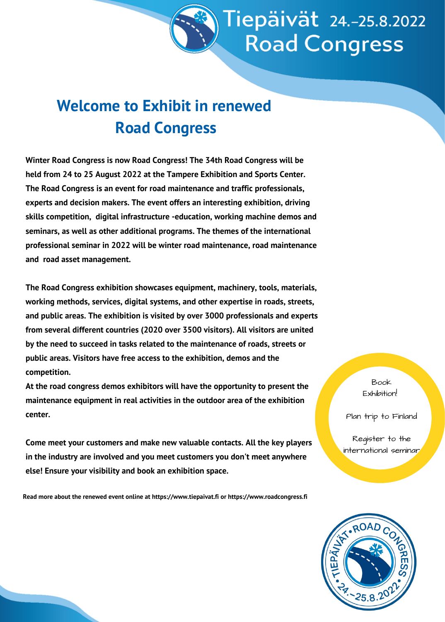

## **Welcome to Exhibit in renewed Road Congress**

**Winter Road Congress is now Road Congress! The 34th Road Congress will be held from 24 to 25 August 2022 at the Tampere Exhibition and Sports Center. The Road Congress is an event for road maintenance and traffic professionals, experts and decision makers. The event offers an interesting exhibition, driving skills competition, digital infrastructure -education, working machine demos and seminars, as well as other additional programs. The themes of the international professional seminar in 2022 will be winter road maintenance, road maintenance and road asset management.**

**The Road Congress exhibition showcases equipment, machinery, tools, materials, working methods, services, digital systems, and other expertise in roads, streets, and public areas. The exhibition is visited by over 3000 professionals and experts from several different countries (2020 over 3500 visitors). All visitors are united by the need to succeed in tasks related to the maintenance of roads, streets or public areas. Visitors have free access to the exhibition, demos and the competition.**

**At the road congress demos exhibitors will have the opportunity to present the maintenance equipment in real activities in the outdoor area of the exhibition center.**

**Come meet your customers and make new valuable contacts. All the key players in the industry are involved and you meet customers you don't meet anywhere else! Ensure your visibility and book an exhibition space.**

**Read more about the renewed event online at https://www.tiepaivat.fi or https://www.roadcongress.fi**

Book Exhibition!

Plan trip to Finland

Register to the international seminar